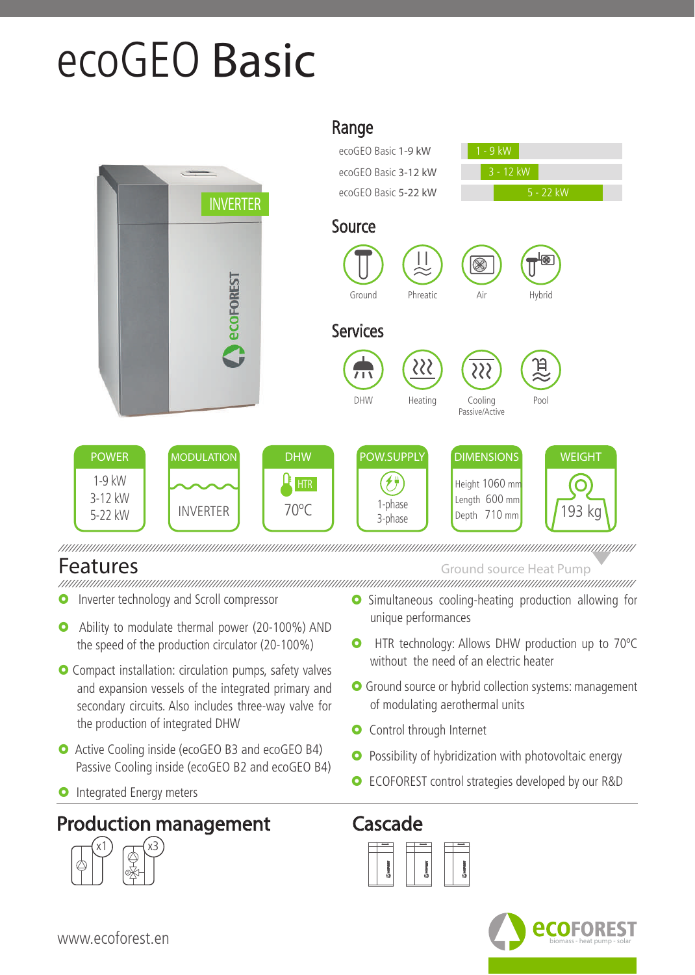## ecoGEO **Basic**



Features Ground source Heat Pump

- **O** Inverter technology and Scroll compressor
- Ability to modulate thermal power (20-100%) AND the speed of the production circulator (20-100%)
- **O** Compact installation: circulation pumps, safety valves and expansion vessels of the integrated primary and secondary circuits. Also includes three-way valve for the production of integrated DHW
- **O** Active Cooling inside (ecoGEO B3 and ecoGEO B4) Passive Cooling inside (ecoGEO B2 and ecoGEO B4)
- **O** Integrated Energy meters

## Production management Cascade



- **O** Simultaneous cooling-heating production allowing for unique performances
- **O** HTR technology: Allows DHW production up to 70°C without the need of an electric heater
- **O** Ground source or hybrid collection systems: management of modulating aerothermal units
- **O** Control through Internet
- **O** Possibility of hybridization with photovoltaic energy
- **O** ECOFOREST control strategies developed by our R&D